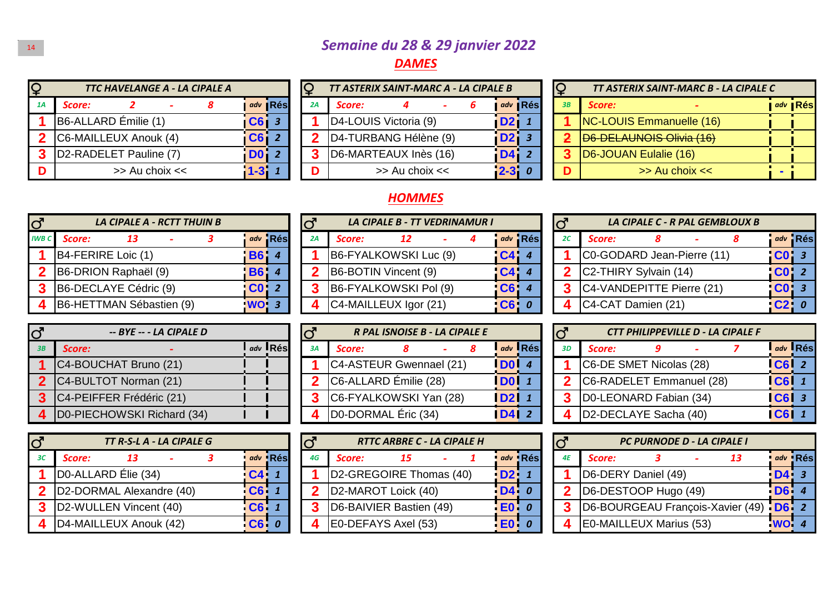## <sup>14</sup> *Semaine du 28 & 29 janvier 2022*

## *DAMES*

| TTC HAVELANGE A - LA CIPALE A |                 |                |    | TT ASTERIX SAINT-MARC A - LA CIPALE B |                    |  |                  |           | IQ |                       | TT ASTERIX SAINT-MARC B - LA CIPALE C |       |
|-------------------------------|-----------------|----------------|----|---------------------------------------|--------------------|--|------------------|-----------|----|-----------------------|---------------------------------------|-------|
| Score:                        |                 | adv <b>Rés</b> | 2A | Score:                                |                    |  |                  | adv   Rés | 3B | Score:                |                                       | I adv |
| B6-ALLARD Émilie (1)          | C6              |                |    | D4-LOUIS Victoria (9)                 |                    |  | i D2 i           |           |    |                       | <b>NC-LOUIS Emmanuelle (16)</b>       |       |
| C6-MAILLEUX Anouk (4)         | C6 <sub>i</sub> |                |    | D4-TURBANG Hélène (9)                 |                    |  | D <sub>2</sub> i |           |    |                       | D6-DELAUNOIS Olivia (16)              |       |
| D2-RADELET Pauline (7)        | D <sub>0</sub>  |                |    | D6-MARTEAUX Inès (16)                 |                    |  | <b>D4</b>        |           |    | D6-JOUAN Eulalie (16) |                                       |       |
| $\gg$ Au choix $<<$           | $1 - 31$        |                | D  |                                       | $>>$ Au choix $<<$ |  | $ 2 - 3 $        |           |    |                       | $>>$ Au choix $<<$                    |       |

| TTC HAVELANGE A - LA CIPALE A |             |           |    | TT ASTERIX SAINT-MARC A - LA CIPALE B |                    |  |                  |           |    | <b>TT ASTERIX SAINT-MAR</b>   |
|-------------------------------|-------------|-----------|----|---------------------------------------|--------------------|--|------------------|-----------|----|-------------------------------|
|                               |             | adv   Rés | 2A | Score:                                |                    |  |                  | adv   Rés | 3B | Score:                        |
| LARD Émilie (1)               | CG 3        |           |    | D4-LOUIS Victoria (9)                 |                    |  | D2I              |           |    | <b>NC-LOUIS Emmanuelle</b>    |
| AILLEUX Anouk (4)             | $C6$ $2$    |           |    | D4-TURBANG Hélène (9)                 |                    |  | D <sub>2</sub> i |           |    | <b>ID6-DELAUNOIS Olivia (</b> |
| ADELET Pauline (7)            | <b>DO</b> 2 |           |    | D6-MARTEAUX Inès (16)                 |                    |  | <b>D41</b>       |           |    | D6-JOUAN Eulalie (16)         |
| $\Rightarrow$ Au choix $<<$   | $1 - 311$   |           | D  |                                       | $>>$ Au choix $<<$ |  | $2 - 3$          |           | D  | >> Au choix                   |

| EВ             |           |    | TT ASTERIX SAINT-MARC B - LA CIPALE C |                |
|----------------|-----------|----|---------------------------------------|----------------|
|                | adv   Rés | 3B | Score:                                | adv <b>Rés</b> |
| $D2$ 1         |           |    | NC-LOUIS Emmanuelle (16)              |                |
| D <sub>2</sub> |           |    | D6-DELAUNOIS Olivia (16)              |                |
| D <sub>4</sub> |           |    | D6-JOUAN Eulalie (16)                 |                |
| $2 - 3$        |           | n  | >> Au choix <<                        |                |

## *HOMMES*

| $\overline{d}$ | LA CIPALE A - RCTT THUIN B |            |         |    |                       | <b>LA CIPALE B - TT VEDRINAMUR I</b> |  |                |
|----------------|----------------------------|------------|---------|----|-----------------------|--------------------------------------|--|----------------|
| <b>IWB C</b>   | Score:<br>13               |            | adv Rés | 2A | Score:                | 12                                   |  | adv            |
|                | B4-FERIRE Loic (1)         | <b>B61</b> |         |    | B6-FYALKOWSKI Luc (9) |                                      |  | C <sub>4</sub> |
| 2              | B6-DRION Raphaël (9)       | <b>B61</b> |         |    | B6-BOTIN Vincent (9)  |                                      |  | C <sub>4</sub> |
| 3              | B6-DECLAYE Cédric (9)      | <b>CO</b>  |         | 3  | B6-FYALKOWSKI Pol (9) |                                      |  | C6             |
| 4              | B6-HETTMAN Sébastien (9)   | WO:3       |         |    | C4-MAILLEUX Igor (21) |                                      |  | C6             |

| $\overline{C}$ | -- BYE -- - LA CIPALE D    |               |    |                         | R PAL ISNOISE B - LA CIPALE E |  |                     |           |    |                                | <b>CTT PHILIPPEVILLE D - LA C</b> |
|----------------|----------------------------|---------------|----|-------------------------|-------------------------------|--|---------------------|-----------|----|--------------------------------|-----------------------------------|
| - 3B           | Score:                     | $ladv$ $R$ és | 3A | Score:                  |                               |  |                     | $adv$ Rés | RП | Score:                         |                                   |
|                | C4-BOUCHAT Bruno (21)      |               |    | C4-ASTEUR Gwennael (21) |                               |  | $\overline{D0}$   4 |           |    | <b>C6-DE SMET Nicolas (28)</b> |                                   |
|                | C4-BULTOT Norman (21)      |               |    | C6-ALLARD Émilie (28)   |                               |  | $\overline{D0}$ 1   |           |    | C6-RADELET Emmanuel (28)       |                                   |
|                | C4-PEIFFER Frédéric (21)   |               |    | C6-FYALKOWSKI Yan (28)  |                               |  | <b>D21</b> 1        |           |    | D0-LEONARD Fabian (34)         |                                   |
|                | D0-PIECHOWSKI Richard (34) |               |    | D0-DORMAL Éric (34)     |                               |  | <b>D412</b>         |           |    | D2-DECLAYE Sacha (40)          |                                   |

| $\overline{\mathsf{C}}$ | TT R-S-L A - LA CIPALE G |           |         |    | <b>RTTC ARBRE C - LA CIPALE H</b> |           |         |    | <b>PC PURNODE D - LA</b> |
|-------------------------|--------------------------|-----------|---------|----|-----------------------------------|-----------|---------|----|--------------------------|
|                         | Score:                   |           | adv Rés | 4G | Score:                            |           | adv Rés | ΔF | Score:                   |
|                         | DO-ALLARD Élie (34)      | $C4$ 1    |         |    | D2-GREGOIRE Thomas (40)           | D2 1      |         |    | D6-DERY Daniel (49)      |
|                         | D2-DORMAL Alexandre (40) | CG 1      |         |    | D2-MAROT Loick (40)               | D40       |         |    | D6-DESTOOP Hugo (49)     |
|                         | D2-WULLEN Vincent (40)   | $CC6$ $1$ |         |    | D6-BAIVIER Bastien (49)           | $E_0$ $o$ |         |    | D6-BOURGEAU François     |
|                         | D4-MAILLEUX Anouk (42)   | $ CG $ 0  |         |    | E0-DEFAYS Axel (53)               | $ E0 $ 0  |         |    | E0-MAILLEUX Marius (53   |

| TT THUIN B |                 |         |    |        | <b>LA CIPALE B - TT VEDRINAMUR I</b> |  |          |         | Iđ           |                                    | LA CIPALE C - R PAL |  |
|------------|-----------------|---------|----|--------|--------------------------------------|--|----------|---------|--------------|------------------------------------|---------------------|--|
|            |                 | adv Rés | 2A | Score: |                                      |  |          | adv Rés | 2C           | Score:                             |                     |  |
|            | <b>B6</b> 4     |         |    |        | B6-FYALKOWSKI Luc (9)                |  | $C4$ 4   |         |              | C0-GODARD Jean-Pier                |                     |  |
|            | <b>B6</b> 4     |         |    |        | B6-BOTIN Vincent (9)                 |  | C444     |         | $\mathbf{p}$ | C <sub>2</sub> -THIRY Sylvain (14) |                     |  |
|            | CO <sub>2</sub> |         |    |        | B6-FYALKOWSKI Pol (9)                |  | CG 4     |         | ⌒            | <b>C4-VANDEPITTE Pierre</b>        |                     |  |
| en (9)     | WO 3            |         |    |        | C4-MAILLEUX Igor (21)                |  | $CG$ $0$ |         |              | C4-CAT Damien (21)                 |                     |  |

| CIPALE D |                                   |    |                         | R PAL ISNOISE B - LA CIPALE E |  |                              |           | $\overline{S}$ |    |                       | <b>CTT PHILIPPEVILLE D</b> |  |
|----------|-----------------------------------|----|-------------------------|-------------------------------|--|------------------------------|-----------|----------------|----|-----------------------|----------------------------|--|
|          | $\mathsf{I}$ adv $\mathsf{I}$ Rés | 3A | Score:                  |                               |  |                              | $adv$ Rés |                | 3D | Score:                |                            |  |
| 21)      |                                   |    | C4-ASTEUR Gwennael (21) |                               |  | <b>DO</b> 4                  |           |                |    | C6-DE SMET Nicolas (2 |                            |  |
| 21)      |                                   |    | C6-ALLARD Émilie (28)   |                               |  | $\overline{D0}$ 1            |           |                | 2  | C6-RADELET Emmanue    |                            |  |
| (21)     |                                   |    | C6-FYALKOWSKI Yan (28)  |                               |  | D211                         |           |                | 3  | D0-LEONARD Fabian (   |                            |  |
| ard (34) |                                   |    | D0-DORMAL Éric (34)     |                               |  | $\overline{ \mathsf{D4} }$ 2 |           |                |    | D2-DECLAYE Sacha (4   |                            |  |

| <b>CIPALE G</b>  |          |    |                         | <b>RTTC ARBRE C - LA CIPALE H</b> |  |        |             | lơ          |                      | <b>PC PURNODE D -</b> |  |
|------------------|----------|----|-------------------------|-----------------------------------|--|--------|-------------|-------------|----------------------|-----------------------|--|
|                  | adv Rés  | 4G | Score:                  | 15                                |  |        | adv Rés     | 4E          | Score:               |                       |  |
|                  | C41      |    | D2-GREGOIRE Thomas (40) |                                   |  | D2 1   |             |             | D6-DERY Daniel (49)  |                       |  |
| $C6$ $1$<br>(40) |          |    | D2-MAROT Loick (40)     |                                   |  | $D4$ 0 |             | $\mathbf 2$ | D6-DESTOOP Hugo (49  |                       |  |
| 10)              | CG 1     |    | D6-BAIVIER Bastien (49) |                                   |  |        | <b>EO</b> 0 | 3           | D6-BOURGEAU Franço   |                       |  |
| 42)              | $CG$ $0$ |    | E0-DEFAYS Axel (53)     |                                   |  | EO 0   |             |             | E0-MAILLEUX Marius ( |                       |  |

|     | റ് |                            | LA CIPALE C - R PAL GEMBLOUX B |  |                |            |
|-----|----|----------------------------|--------------------------------|--|----------------|------------|
| ≀és | 2C | Score:                     |                                |  | adv            | <b>Rés</b> |
| 4   |    | C0-GODARD Jean-Pierre (11) |                                |  | C <sub>0</sub> |            |
| 4   |    | C2-THIRY Sylvain (14)      |                                |  | <b>CL</b>      |            |
| 4   |    | C4-VANDEPITTE Pierre (21)  |                                |  |                |            |
| 0   |    | C4-CAT Damien (21)         |                                |  |                |            |

| -- BYE -- - LA CIPALE D    | lơ | R PAL ISNOISE B - LA CIPALE E |                                                           |    | <b>CTT PHILIPPEVILLE D - LA CIPALE F</b> |             |           |
|----------------------------|----|-------------------------------|-----------------------------------------------------------|----|------------------------------------------|-------------|-----------|
| $adv$ $Rés$<br>Score:      |    | Score:                        | $\overline{\phantom{a}}$ adv $\overline{\phantom{a}}$ Rés | 3D | Score:                                   |             | $adv$ Rés |
| C4-BOUCHAT Bruno (21)      |    | C4-ASTEUR Gwennael (21)       | <b>DO</b>                                                 |    | C6-DE SMET Nicolas (28)                  | $ CG $ 2    |           |
| C4-BULTOT Norman (21)      |    | C6-ALLARD Émilie (28)         | <b>IDOI</b>                                               |    | C6-RADELET Emmanuel (28)                 | <b>C61</b>  |           |
| C4-PEIFFER Frédéric (21)   |    | C6-FYALKOWSKI Yan (28)        | <b>ID21</b>                                               |    | D0-LEONARD Fabian (34)                   | $ CG $ 3    |           |
| D0-PIECHOWSKI Richard (34) |    | D0-DORMAL Éric (34)           | <b>D41</b>                                                |    | D2-DECLAYE Sacha (40)                    | <b>IC61</b> |           |

|          |  | $\overline{C}$ |        | <b>RTTC ARBRE C - LA CIPALE H</b> |  |           |         | $\overline{\mathsf{C}}$ |                         | <b>PC PURNODE D - LA CIPALE I</b> |                                        |             |         |
|----------|--|----------------|--------|-----------------------------------|--|-----------|---------|-------------------------|-------------------------|-----------------------------------|----------------------------------------|-------------|---------|
| adv Rés  |  | 4G             | Score: | 15                                |  |           | adv Rés | 4E                      | Score:                  |                                   | 13                                     |             | adv Rés |
| C4 1     |  |                |        | D2-GREGOIRE Thomas (40)           |  | <b>D2</b> |         |                         | D6-DERY Daniel (49)     |                                   |                                        | D4 3        |         |
| CG       |  |                |        | D2-MAROT Loick (40)               |  | D40       |         |                         | D6-DESTOOP Hugo (49)    |                                   |                                        | D6 4        |         |
| $ CG $ 1 |  |                |        | D6-BAIVIER Bastien (49)           |  | $E_0$ $o$ |         |                         |                         |                                   | D6-BOURGEAU François-Xavier (49) D6: 2 |             |         |
| $CG$ $0$ |  |                |        | E0-DEFAYS Axel (53)               |  | $E0$ $o$  |         |                         | E0-MAILLEUX Marius (53) |                                   |                                        | <b>WO</b> 4 |         |